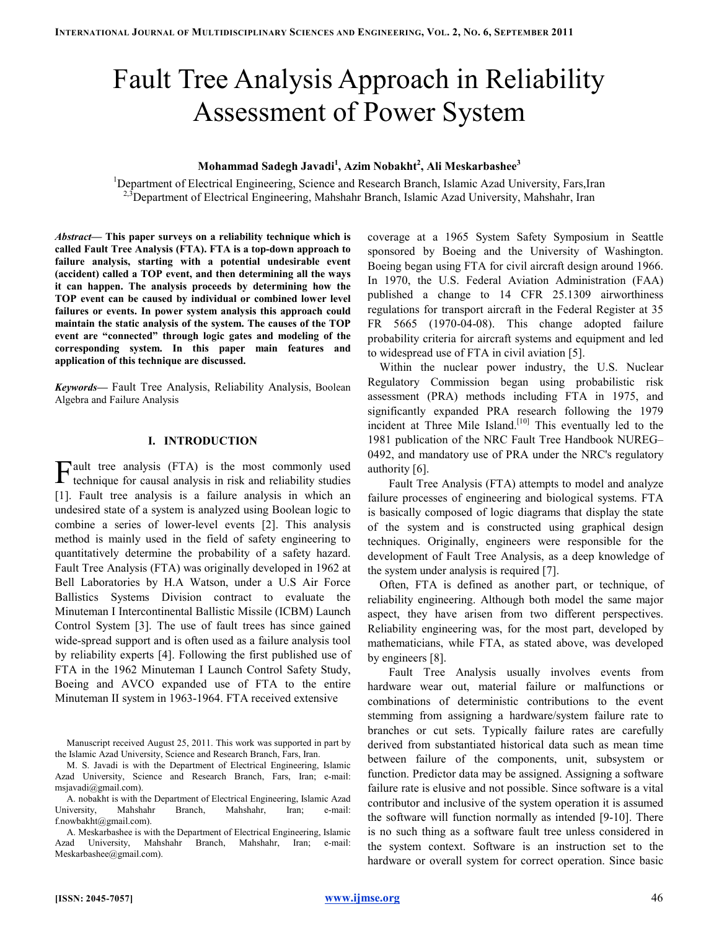# Fault Tree Analysis Approach in Reliability Assessment of Power System

## Mohammad Sadegh Javadi<sup>1</sup>, Azim Nobakht<sup>2</sup>, Ali Meskarbashee $^3$

<sup>1</sup>Department of Electrical Engineering, Science and Research Branch, Islamic Azad University, Fars,Iran <sup>2,3</sup>Department of Electrical Engineering, Mahshahr Branch, Islamic Azad University, Mahshahr, Iran

Abstract— This paper surveys on a reliability technique which is called Fault Tree Analysis (FTA). FTA is a top-down approach to failure analysis, starting with a potential undesirable event (accident) called a TOP event, and then determining all the ways it can happen. The analysis proceeds by determining how the TOP event can be caused by individual or combined lower level failures or events. In power system analysis this approach could maintain the static analysis of the system. The causes of the TOP event are "connected" through logic gates and modeling of the corresponding system. In this paper main features and application of this technique are discussed.

Keywords— Fault Tree Analysis, Reliability Analysis, Boolean Algebra and Failure Analysis

#### I. INTRODUCTION

ault tree analysis (FTA) is the most commonly used  $\Gamma$ ault tree analysis (FTA) is the most commonly used technique for causal analysis in risk and reliability studies [1]. Fault tree analysis is a failure analysis in which an undesired state of a system is analyzed using Boolean logic to combine a series of lower-level events [2]. This analysis method is mainly used in the field of safety engineering to quantitatively determine the probability of a safety hazard. Fault Tree Analysis (FTA) was originally developed in 1962 at Bell Laboratories by H.A Watson, under a U.S Air Force Ballistics Systems Division contract to evaluate the Minuteman I Intercontinental Ballistic Missile (ICBM) Launch Control System [3]. The use of fault trees has since gained wide-spread support and is often used as a failure analysis tool by reliability experts [4]. Following the first published use of FTA in the 1962 Minuteman I Launch Control Safety Study, Boeing and AVCO expanded use of FTA to the entire Minuteman II system in 1963-1964. FTA received extensive

Manuscript received August 25, 2011. This work was supported in part by the Islamic Azad University, Science and Research Branch, Fars, Iran.

coverage at a 1965 System Safety Symposium in Seattle sponsored by Boeing and the University of Washington. Boeing began using FTA for civil aircraft design around 1966. In 1970, the U.S. Federal Aviation Administration (FAA) published a change to 14 CFR 25.1309 airworthiness regulations for transport aircraft in the Federal Register at 35 FR 5665 (1970-04-08). This change adopted failure probability criteria for aircraft systems and equipment and led to widespread use of FTA in civil aviation [5].

Within the nuclear power industry, the U.S. Nuclear Regulatory Commission began using probabilistic risk assessment (PRA) methods including FTA in 1975, and significantly expanded PRA research following the 1979 incident at Three Mile Island.<sup>[10]</sup> This eventually led to the 1981 publication of the NRC Fault Tree Handbook NUREG– 0492, and mandatory use of PRA under the NRC's regulatory authority [6].

Fault Tree Analysis (FTA) attempts to model and analyze failure processes of engineering and biological systems. FTA is basically composed of logic diagrams that display the state of the system and is constructed using graphical design techniques. Originally, engineers were responsible for the development of Fault Tree Analysis, as a deep knowledge of the system under analysis is required [7].

Often, FTA is defined as another part, or technique, of reliability engineering. Although both model the same major aspect, they have arisen from two different perspectives. Reliability engineering was, for the most part, developed by mathematicians, while FTA, as stated above, was developed by engineers [8].

Fault Tree Analysis usually involves events from hardware wear out, material failure or malfunctions or combinations of deterministic contributions to the event stemming from assigning a hardware/system failure rate to branches or cut sets. Typically failure rates are carefully derived from substantiated historical data such as mean time between failure of the components, unit, subsystem or function. Predictor data may be assigned. Assigning a software failure rate is elusive and not possible. Since software is a vital contributor and inclusive of the system operation it is assumed the software will function normally as intended [9-10]. There is no such thing as a software fault tree unless considered in the system context. Software is an instruction set to the hardware or overall system for correct operation. Since basic

M. S. Javadi is with the Department of Electrical Engineering, Islamic Azad University, Science and Research Branch, Fars, Iran; e-mail: msjavadi@gmail.com).

A. nobakht is with the Department of Electrical Engineering, Islamic Azad University, Mahshahr Branch, Mahshahr, Iran; e-mail: f.nowbakht@gmail.com).

A. Meskarbashee is with the Department of Electrical Engineering, Islamic Azad University, Mahshahr Branch, Mahshahr, Iran; e-mail: Meskarbashee@gmail.com).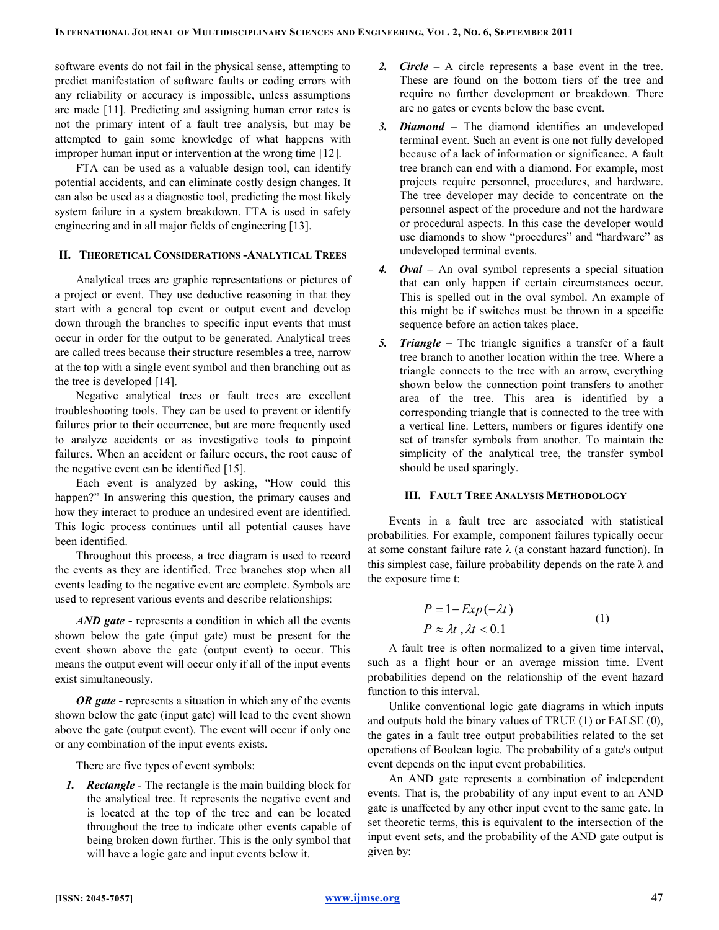software events do not fail in the physical sense, attempting to predict manifestation of software faults or coding errors with any reliability or accuracy is impossible, unless assumptions are made [11]. Predicting and assigning human error rates is not the primary intent of a fault tree analysis, but may be attempted to gain some knowledge of what happens with improper human input or intervention at the wrong time [12].

FTA can be used as a valuable design tool, can identify potential accidents, and can eliminate costly design changes. It can also be used as a diagnostic tool, predicting the most likely system failure in a system breakdown. FTA is used in safety engineering and in all major fields of engineering [13].

### II. THEORETICAL CONSIDERATIONS -ANALYTICAL TREES

Analytical trees are graphic representations or pictures of a project or event. They use deductive reasoning in that they start with a general top event or output event and develop down through the branches to specific input events that must occur in order for the output to be generated. Analytical trees are called trees because their structure resembles a tree, narrow at the top with a single event symbol and then branching out as the tree is developed [14].

Negative analytical trees or fault trees are excellent troubleshooting tools. They can be used to prevent or identify failures prior to their occurrence, but are more frequently used to analyze accidents or as investigative tools to pinpoint failures. When an accident or failure occurs, the root cause of the negative event can be identified [15].

Each event is analyzed by asking, "How could this happen?" In answering this question, the primary causes and how they interact to produce an undesired event are identified. This logic process continues until all potential causes have been identified.

Throughout this process, a tree diagram is used to record the events as they are identified. Tree branches stop when all events leading to the negative event are complete. Symbols are used to represent various events and describe relationships:

AND gate - represents a condition in which all the events shown below the gate (input gate) must be present for the event shown above the gate (output event) to occur. This means the output event will occur only if all of the input events exist simultaneously.

OR gate - represents a situation in which any of the events shown below the gate (input gate) will lead to the event shown above the gate (output event). The event will occur if only one or any combination of the input events exists.

There are five types of event symbols:

1. Rectangle - The rectangle is the main building block for the analytical tree. It represents the negative event and is located at the top of the tree and can be located throughout the tree to indicate other events capable of being broken down further. This is the only symbol that will have a logic gate and input events below it.

- 2. Circle A circle represents a base event in the tree. These are found on the bottom tiers of the tree and require no further development or breakdown. There are no gates or events below the base event.
- 3. Diamond The diamond identifies an undeveloped terminal event. Such an event is one not fully developed because of a lack of information or significance. A fault tree branch can end with a diamond. For example, most projects require personnel, procedures, and hardware. The tree developer may decide to concentrate on the personnel aspect of the procedure and not the hardware or procedural aspects. In this case the developer would use diamonds to show "procedures" and "hardware" as undeveloped terminal events.
- 4. Oval An oval symbol represents a special situation that can only happen if certain circumstances occur. This is spelled out in the oval symbol. An example of this might be if switches must be thrown in a specific sequence before an action takes place.
- 5. Triangle The triangle signifies a transfer of a fault tree branch to another location within the tree. Where a triangle connects to the tree with an arrow, everything shown below the connection point transfers to another area of the tree. This area is identified by a corresponding triangle that is connected to the tree with a vertical line. Letters, numbers or figures identify one set of transfer symbols from another. To maintain the simplicity of the analytical tree, the transfer symbol should be used sparingly.

#### III. FAULT TREE ANALYSIS METHODOLOGY

Events in a fault tree are associated with statistical probabilities. For example, component failures typically occur at some constant failure rate  $\lambda$  (a constant hazard function). In this simplest case, failure probability depends on the rate  $\lambda$  and the exposure time t:

$$
P = 1 - Exp(-\lambda t)
$$
  
\n
$$
P \approx \lambda t, \lambda t < 0.1
$$
 (1)

A fault tree is often normalized to a given time interval, such as a flight hour or an average mission time. Event probabilities depend on the relationship of the event hazard function to this interval.

Unlike conventional logic gate diagrams in which inputs and outputs hold the binary values of TRUE (1) or FALSE (0), the gates in a fault tree output probabilities related to the set operations of Boolean logic. The probability of a gate's output event depends on the input event probabilities.

An AND gate represents a combination of independent events. That is, the probability of any input event to an AND gate is unaffected by any other input event to the same gate. In set theoretic terms, this is equivalent to the intersection of the input event sets, and the probability of the AND gate output is given by: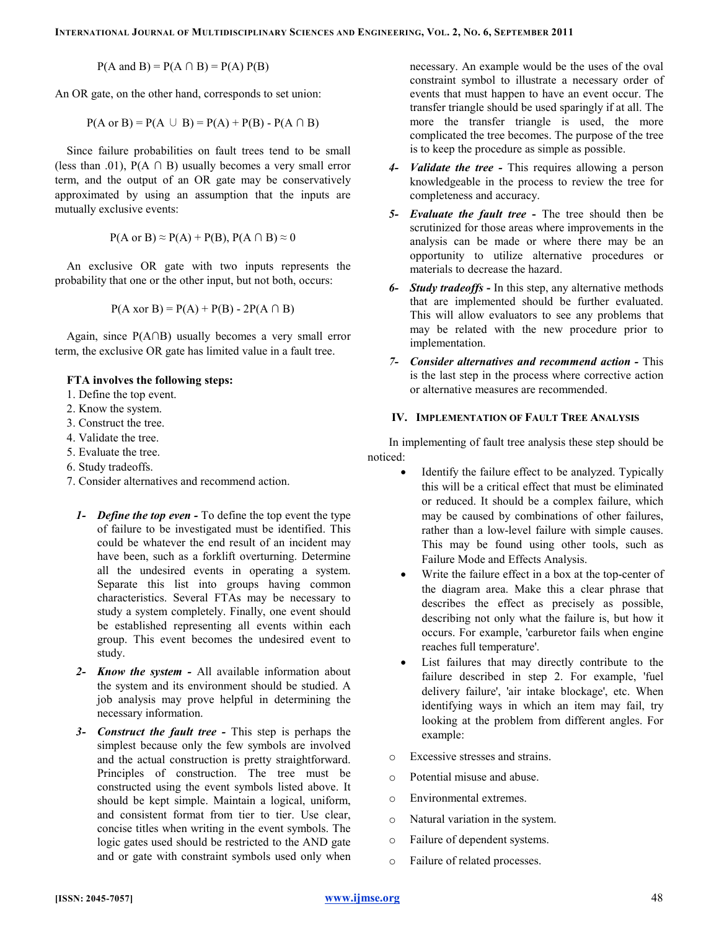$P(A \text{ and } B) = P(A \cap B) = P(A) P(B)$ 

An OR gate, on the other hand, corresponds to set union:

$$
P(A \text{ or } B) = P(A \cup B) = P(A) + P(B) - P(A \cap B)
$$

Since failure probabilities on fault trees tend to be small (less than .01),  $P(A \cap B)$  usually becomes a very small error term, and the output of an OR gate may be conservatively approximated by using an assumption that the inputs are mutually exclusive events:

$$
P(A \text{ or } B) \approx P(A) + P(B), P(A \cap B) \approx 0
$$

An exclusive OR gate with two inputs represents the probability that one or the other input, but not both, occurs:

$$
P(A \text{ xor } B) = P(A) + P(B) - 2P(A \cap B)
$$

Again, since P(A∩B) usually becomes a very small error term, the exclusive OR gate has limited value in a fault tree.

#### FTA involves the following steps:

- 1. Define the top event.
- 2. Know the system.
- 3. Construct the tree.
- 4. Validate the tree.
- 5. Evaluate the tree.
- 6. Study tradeoffs.
- 7. Consider alternatives and recommend action.
	- 1- Define the top even To define the top event the type of failure to be investigated must be identified. This could be whatever the end result of an incident may have been, such as a forklift overturning. Determine all the undesired events in operating a system. Separate this list into groups having common characteristics. Several FTAs may be necessary to study a system completely. Finally, one event should be established representing all events within each group. This event becomes the undesired event to study.
	- 2- Know the system All available information about the system and its environment should be studied. A job analysis may prove helpful in determining the necessary information.
	- 3- Construct the fault tree This step is perhaps the simplest because only the few symbols are involved and the actual construction is pretty straightforward. Principles of construction. The tree must be constructed using the event symbols listed above. It should be kept simple. Maintain a logical, uniform, and consistent format from tier to tier. Use clear, concise titles when writing in the event symbols. The logic gates used should be restricted to the AND gate and or gate with constraint symbols used only when

necessary. An example would be the uses of the oval constraint symbol to illustrate a necessary order of events that must happen to have an event occur. The transfer triangle should be used sparingly if at all. The more the transfer triangle is used, the more complicated the tree becomes. The purpose of the tree is to keep the procedure as simple as possible.

- 4- *Validate the tree* This requires allowing a person knowledgeable in the process to review the tree for completeness and accuracy.
- 5- Evaluate the fault tree The tree should then be scrutinized for those areas where improvements in the analysis can be made or where there may be an opportunity to utilize alternative procedures or materials to decrease the hazard.
- 6- Study tradeoffs In this step, any alternative methods that are implemented should be further evaluated. This will allow evaluators to see any problems that may be related with the new procedure prior to implementation.
- 7- Consider alternatives and recommend action This is the last step in the process where corrective action or alternative measures are recommended.

### IV. IMPLEMENTATION OF FAULT TREE ANALYSIS

In implementing of fault tree analysis these step should be noticed:

- Identify the failure effect to be analyzed. Typically this will be a critical effect that must be eliminated or reduced. It should be a complex failure, which may be caused by combinations of other failures, rather than a low-level failure with simple causes. This may be found using other tools, such as Failure Mode and Effects Analysis.
- Write the failure effect in a box at the top-center of the diagram area. Make this a clear phrase that describes the effect as precisely as possible, describing not only what the failure is, but how it occurs. For example, 'carburetor fails when engine reaches full temperature'.
- List failures that may directly contribute to the failure described in step 2. For example, 'fuel delivery failure', 'air intake blockage', etc. When identifying ways in which an item may fail, try looking at the problem from different angles. For example:
- o Excessive stresses and strains.
- o Potential misuse and abuse.
- o Environmental extremes.
- o Natural variation in the system.
- o Failure of dependent systems.
- o Failure of related processes.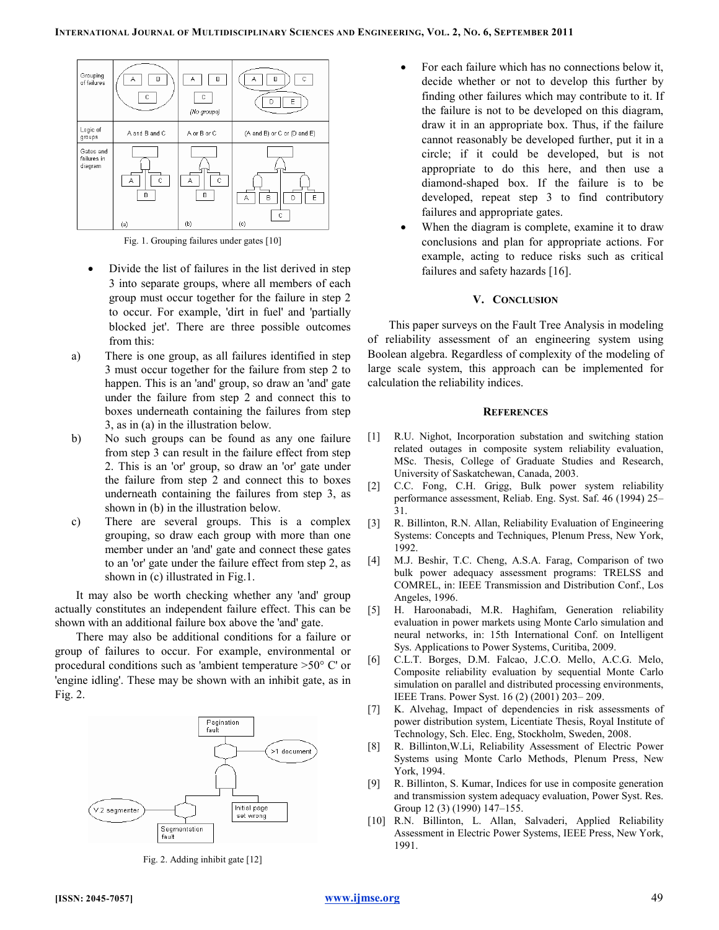

Fig. 1. Grouping failures under gates [10]

- Divide the list of failures in the list derived in step 3 into separate groups, where all members of each group must occur together for the failure in step 2 to occur. For example, 'dirt in fuel' and 'partially blocked jet'. There are three possible outcomes from this:
- a) There is one group, as all failures identified in step 3 must occur together for the failure from step 2 to happen. This is an 'and' group, so draw an 'and' gate under the failure from step 2 and connect this to boxes underneath containing the failures from step 3, as in (a) in the illustration below.
- b) No such groups can be found as any one failure from step 3 can result in the failure effect from step 2. This is an 'or' group, so draw an 'or' gate under the failure from step 2 and connect this to boxes underneath containing the failures from step 3, as shown in (b) in the illustration below.
- c) There are several groups. This is a complex grouping, so draw each group with more than one member under an 'and' gate and connect these gates to an 'or' gate under the failure effect from step 2, as shown in (c) illustrated in Fig.1.

It may also be worth checking whether any 'and' group actually constitutes an independent failure effect. This can be shown with an additional failure box above the 'and' gate.

There may also be additional conditions for a failure or group of failures to occur. For example, environmental or procedural conditions such as 'ambient temperature >50° C' or 'engine idling'. These may be shown with an inhibit gate, as in Fig. 2.



Fig. 2. Adding inhibit gate [12]

- For each failure which has no connections below it, decide whether or not to develop this further by finding other failures which may contribute to it. If the failure is not to be developed on this diagram, draw it in an appropriate box. Thus, if the failure cannot reasonably be developed further, put it in a circle; if it could be developed, but is not appropriate to do this here, and then use a diamond-shaped box. If the failure is to be developed, repeat step 3 to find contributory failures and appropriate gates.
- When the diagram is complete, examine it to draw conclusions and plan for appropriate actions. For example, acting to reduce risks such as critical failures and safety hazards [16].

#### V. CONCLUSION

This paper surveys on the Fault Tree Analysis in modeling of reliability assessment of an engineering system using Boolean algebra. Regardless of complexity of the modeling of large scale system, this approach can be implemented for calculation the reliability indices.

#### **REFERENCES**

- [1] R.U. Nighot, Incorporation substation and switching station related outages in composite system reliability evaluation, MSc. Thesis, College of Graduate Studies and Research, University of Saskatchewan, Canada, 2003.
- [2] C.C. Fong, C.H. Grigg, Bulk power system reliability performance assessment, Reliab. Eng. Syst. Saf. 46 (1994) 25– 31.
- [3] R. Billinton, R.N. Allan, Reliability Evaluation of Engineering Systems: Concepts and Techniques, Plenum Press, New York, 1992.
- [4] M.J. Beshir, T.C. Cheng, A.S.A. Farag, Comparison of two bulk power adequacy assessment programs: TRELSS and COMREL, in: IEEE Transmission and Distribution Conf., Los Angeles, 1996.
- [5] H. Haroonabadi, M.R. Haghifam, Generation reliability evaluation in power markets using Monte Carlo simulation and neural networks, in: 15th International Conf. on Intelligent Sys. Applications to Power Systems, Curitiba, 2009.
- [6] C.L.T. Borges, D.M. Falcao, J.C.O. Mello, A.C.G. Melo, Composite reliability evaluation by sequential Monte Carlo simulation on parallel and distributed processing environments, IEEE Trans. Power Syst. 16 (2) (2001) 203– 209.
- [7] K. Alvehag, Impact of dependencies in risk assessments of power distribution system, Licentiate Thesis, Royal Institute of Technology, Sch. Elec. Eng, Stockholm, Sweden, 2008.
- [8] R. Billinton,W.Li, Reliability Assessment of Electric Power Systems using Monte Carlo Methods, Plenum Press, New York, 1994.
- [9] R. Billinton, S. Kumar, Indices for use in composite generation and transmission system adequacy evaluation, Power Syst. Res. Group 12 (3) (1990) 147–155.
- [10] R.N. Billinton, L. Allan, Salvaderi, Applied Reliability Assessment in Electric Power Systems, IEEE Press, New York, 1991.